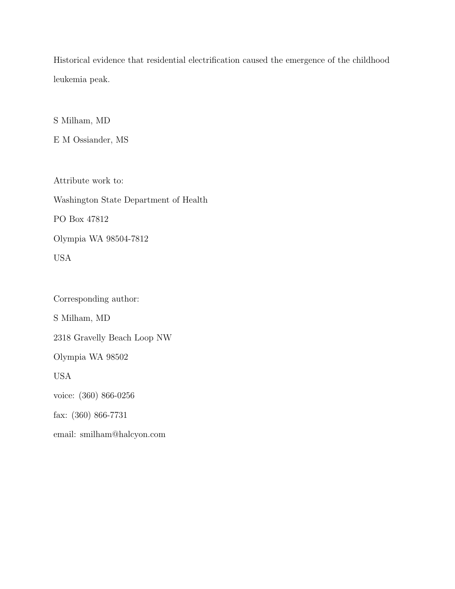Historical evidence that residential electrification caused the emergence of the childhood leukemia peak.

S Milham, MD

E M Ossiander, MS

Attribute work to: Washington State Department of Health PO Box 47812 Olympia WA 98504-7812 USA

Corresponding author: S Milham, MD 2318 Gravelly Beach Loop NW Olympia WA 98502 USA voice: (360) 866-0256 fax: (360) 866-7731 email: smilham@halcyon.com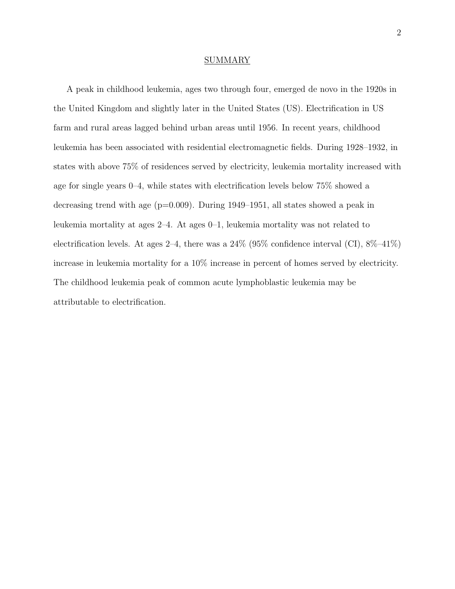### **SUMMARY**

A peak in childhood leukemia, ages two through four, emerged de novo in the 1920s in the United Kingdom and slightly later in the United States (US). Electrification in US farm and rural areas lagged behind urban areas until 1956. In recent years, childhood leukemia has been associated with residential electromagnetic fields. During 1928–1932, in states with above 75% of residences served by electricity, leukemia mortality increased with age for single years 0–4, while states with electrification levels below 75% showed a decreasing trend with age  $(p=0.009)$ . During 1949–1951, all states showed a peak in leukemia mortality at ages 2–4. At ages 0–1, leukemia mortality was not related to electrification levels. At ages 2–4, there was a  $24\%$  (95% confidence interval (CI),  $8\%$ –41%) increase in leukemia mortality for a 10% increase in percent of homes served by electricity. The childhood leukemia peak of common acute lymphoblastic leukemia may be attributable to electrification.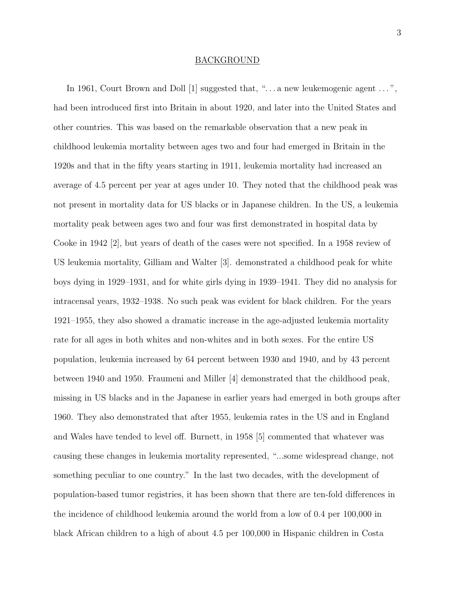# BACKGROUND

In 1961, Court Brown and Doll [1] suggested that, "... a new leukemogenic agent ...", had been introduced first into Britain in about 1920, and later into the United States and other countries. This was based on the remarkable observation that a new peak in childhood leukemia mortality between ages two and four had emerged in Britain in the 1920s and that in the fifty years starting in 1911, leukemia mortality had increased an average of 4.5 percent per year at ages under 10. They noted that the childhood peak was not present in mortality data for US blacks or in Japanese children. In the US, a leukemia mortality peak between ages two and four was first demonstrated in hospital data by Cooke in 1942 [2], but years of death of the cases were not specified. In a 1958 review of US leukemia mortality, Gilliam and Walter [3]. demonstrated a childhood peak for white boys dying in 1929–1931, and for white girls dying in 1939–1941. They did no analysis for intracensal years, 1932–1938. No such peak was evident for black children. For the years 1921–1955, they also showed a dramatic increase in the age-adjusted leukemia mortality rate for all ages in both whites and non-whites and in both sexes. For the entire US population, leukemia increased by 64 percent between 1930 and 1940, and by 43 percent between 1940 and 1950. Fraumeni and Miller [4] demonstrated that the childhood peak, missing in US blacks and in the Japanese in earlier years had emerged in both groups after 1960. They also demonstrated that after 1955, leukemia rates in the US and in England and Wales have tended to level off. Burnett, in 1958 [5] commented that whatever was causing these changes in leukemia mortality represented, "...some widespread change, not something peculiar to one country." In the last two decades, with the development of population-based tumor registries, it has been shown that there are ten-fold differences in the incidence of childhood leukemia around the world from a low of 0.4 per 100,000 in black African children to a high of about 4.5 per 100,000 in Hispanic children in Costa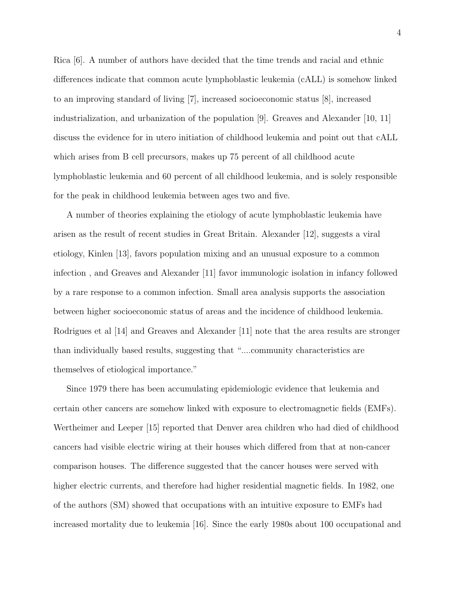Rica [6]. A number of authors have decided that the time trends and racial and ethnic differences indicate that common acute lymphoblastic leukemia (cALL) is somehow linked to an improving standard of living [7], increased socioeconomic status [8], increased industrialization, and urbanization of the population [9]. Greaves and Alexander [10, 11] discuss the evidence for in utero initiation of childhood leukemia and point out that cALL which arises from B cell precursors, makes up 75 percent of all childhood acute lymphoblastic leukemia and 60 percent of all childhood leukemia, and is solely responsible for the peak in childhood leukemia between ages two and five.

A number of theories explaining the etiology of acute lymphoblastic leukemia have arisen as the result of recent studies in Great Britain. Alexander [12], suggests a viral etiology, Kinlen [13], favors population mixing and an unusual exposure to a common infection , and Greaves and Alexander [11] favor immunologic isolation in infancy followed by a rare response to a common infection. Small area analysis supports the association between higher socioeconomic status of areas and the incidence of childhood leukemia. Rodrigues et al [14] and Greaves and Alexander [11] note that the area results are stronger than individually based results, suggesting that "....community characteristics are themselves of etiological importance."

Since 1979 there has been accumulating epidemiologic evidence that leukemia and certain other cancers are somehow linked with exposure to electromagnetic fields (EMFs). Wertheimer and Leeper [15] reported that Denver area children who had died of childhood cancers had visible electric wiring at their houses which differed from that at non-cancer comparison houses. The difference suggested that the cancer houses were served with higher electric currents, and therefore had higher residential magnetic fields. In 1982, one of the authors (SM) showed that occupations with an intuitive exposure to EMFs had increased mortality due to leukemia [16]. Since the early 1980s about 100 occupational and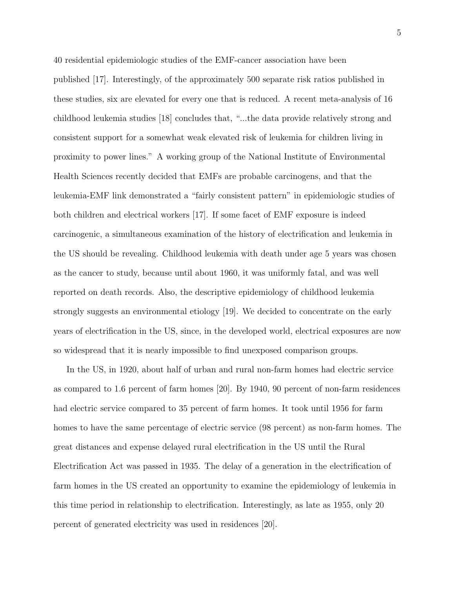40 residential epidemiologic studies of the EMF-cancer association have been published [17]. Interestingly, of the approximately 500 separate risk ratios published in these studies, six are elevated for every one that is reduced. A recent meta-analysis of 16 childhood leukemia studies [18] concludes that, "...the data provide relatively strong and consistent support for a somewhat weak elevated risk of leukemia for children living in proximity to power lines." A working group of the National Institute of Environmental Health Sciences recently decided that EMFs are probable carcinogens, and that the leukemia-EMF link demonstrated a "fairly consistent pattern" in epidemiologic studies of both children and electrical workers [17]. If some facet of EMF exposure is indeed carcinogenic, a simultaneous examination of the history of electrification and leukemia in the US should be revealing. Childhood leukemia with death under age 5 years was chosen as the cancer to study, because until about 1960, it was uniformly fatal, and was well reported on death records. Also, the descriptive epidemiology of childhood leukemia strongly suggests an environmental etiology [19]. We decided to concentrate on the early years of electrification in the US, since, in the developed world, electrical exposures are now so widespread that it is nearly impossible to find unexposed comparison groups.

In the US, in 1920, about half of urban and rural non-farm homes had electric service as compared to 1.6 percent of farm homes [20]. By 1940, 90 percent of non-farm residences had electric service compared to 35 percent of farm homes. It took until 1956 for farm homes to have the same percentage of electric service (98 percent) as non-farm homes. The great distances and expense delayed rural electrification in the US until the Rural Electrification Act was passed in 1935. The delay of a generation in the electrification of farm homes in the US created an opportunity to examine the epidemiology of leukemia in this time period in relationship to electrification. Interestingly, as late as 1955, only 20 percent of generated electricity was used in residences [20].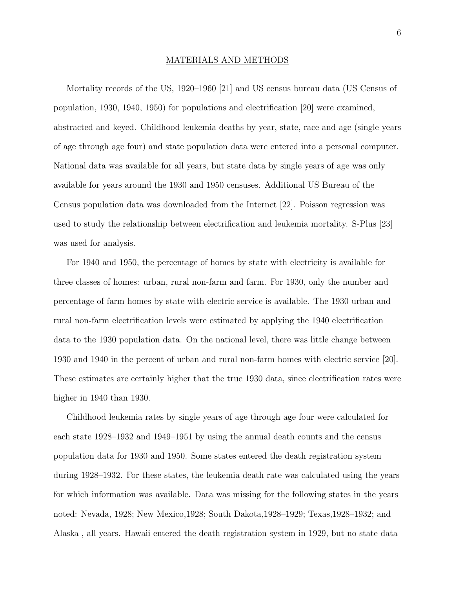## MATERIALS AND METHODS

Mortality records of the US, 1920–1960 [21] and US census bureau data (US Census of population, 1930, 1940, 1950) for populations and electrification [20] were examined, abstracted and keyed. Childhood leukemia deaths by year, state, race and age (single years of age through age four) and state population data were entered into a personal computer. National data was available for all years, but state data by single years of age was only available for years around the 1930 and 1950 censuses. Additional US Bureau of the Census population data was downloaded from the Internet [22]. Poisson regression was used to study the relationship between electrification and leukemia mortality. S-Plus [23] was used for analysis.

For 1940 and 1950, the percentage of homes by state with electricity is available for three classes of homes: urban, rural non-farm and farm. For 1930, only the number and percentage of farm homes by state with electric service is available. The 1930 urban and rural non-farm electrification levels were estimated by applying the 1940 electrification data to the 1930 population data. On the national level, there was little change between 1930 and 1940 in the percent of urban and rural non-farm homes with electric service [20]. These estimates are certainly higher that the true 1930 data, since electrification rates were higher in 1940 than 1930.

Childhood leukemia rates by single years of age through age four were calculated for each state 1928–1932 and 1949–1951 by using the annual death counts and the census population data for 1930 and 1950. Some states entered the death registration system during 1928–1932. For these states, the leukemia death rate was calculated using the years for which information was available. Data was missing for the following states in the years noted: Nevada, 1928; New Mexico,1928; South Dakota,1928–1929; Texas,1928–1932; and Alaska , all years. Hawaii entered the death registration system in 1929, but no state data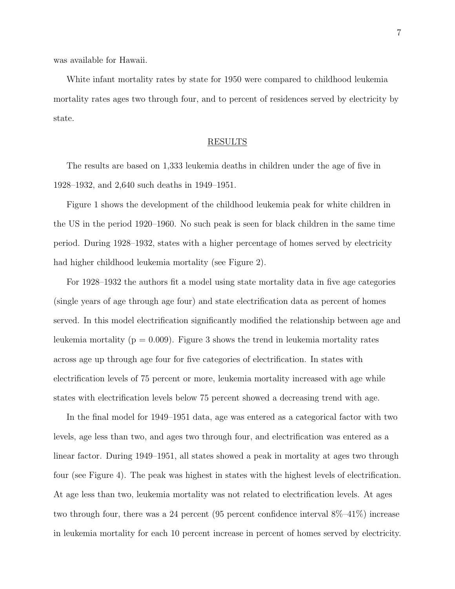was available for Hawaii.

White infant mortality rates by state for 1950 were compared to childhood leukemia mortality rates ages two through four, and to percent of residences served by electricity by state.

# RESULTS

The results are based on 1,333 leukemia deaths in children under the age of five in 1928–1932, and 2,640 such deaths in 1949–1951.

Figure 1 shows the development of the childhood leukemia peak for white children in the US in the period 1920–1960. No such peak is seen for black children in the same time period. During 1928–1932, states with a higher percentage of homes served by electricity had higher childhood leukemia mortality (see Figure 2).

For 1928–1932 the authors fit a model using state mortality data in five age categories (single years of age through age four) and state electrification data as percent of homes served. In this model electrification significantly modified the relationship between age and leukemia mortality ( $p = 0.009$ ). Figure 3 shows the trend in leukemia mortality rates across age up through age four for five categories of electrification. In states with electrification levels of 75 percent or more, leukemia mortality increased with age while states with electrification levels below 75 percent showed a decreasing trend with age.

In the final model for 1949–1951 data, age was entered as a categorical factor with two levels, age less than two, and ages two through four, and electrification was entered as a linear factor. During 1949–1951, all states showed a peak in mortality at ages two through four (see Figure 4). The peak was highest in states with the highest levels of electrification. At age less than two, leukemia mortality was not related to electrification levels. At ages two through four, there was a 24 percent (95 percent confidence interval 8%–41%) increase in leukemia mortality for each 10 percent increase in percent of homes served by electricity.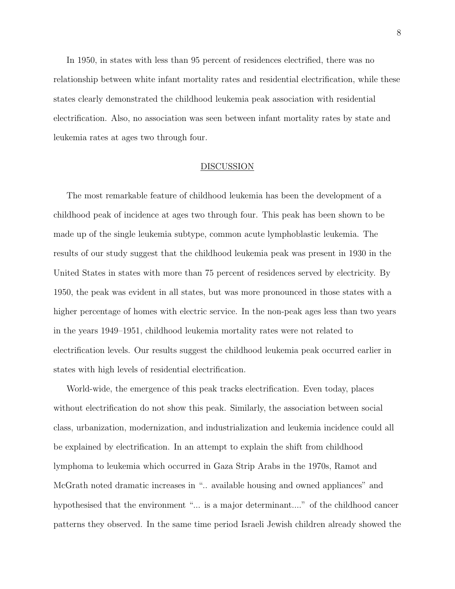In 1950, in states with less than 95 percent of residences electrified, there was no relationship between white infant mortality rates and residential electrification, while these states clearly demonstrated the childhood leukemia peak association with residential electrification. Also, no association was seen between infant mortality rates by state and leukemia rates at ages two through four.

### DISCUSSION

The most remarkable feature of childhood leukemia has been the development of a childhood peak of incidence at ages two through four. This peak has been shown to be made up of the single leukemia subtype, common acute lymphoblastic leukemia. The results of our study suggest that the childhood leukemia peak was present in 1930 in the United States in states with more than 75 percent of residences served by electricity. By 1950, the peak was evident in all states, but was more pronounced in those states with a higher percentage of homes with electric service. In the non-peak ages less than two years in the years 1949–1951, childhood leukemia mortality rates were not related to electrification levels. Our results suggest the childhood leukemia peak occurred earlier in states with high levels of residential electrification.

World-wide, the emergence of this peak tracks electrification. Even today, places without electrification do not show this peak. Similarly, the association between social class, urbanization, modernization, and industrialization and leukemia incidence could all be explained by electrification. In an attempt to explain the shift from childhood lymphoma to leukemia which occurred in Gaza Strip Arabs in the 1970s, Ramot and McGrath noted dramatic increases in ".. available housing and owned appliances" and hypothesised that the environment "... is a major determinant...." of the childhood cancer patterns they observed. In the same time period Israeli Jewish children already showed the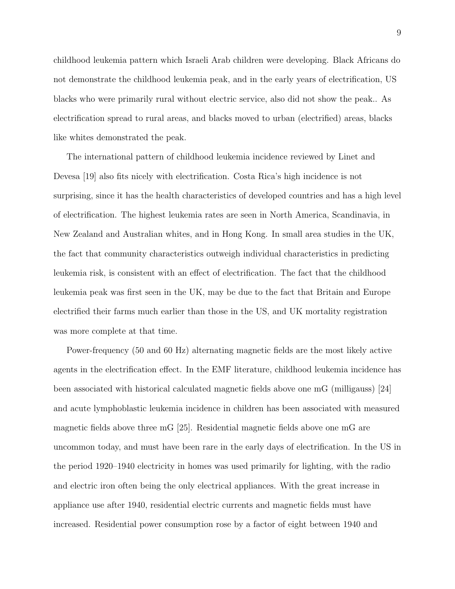childhood leukemia pattern which Israeli Arab children were developing. Black Africans do not demonstrate the childhood leukemia peak, and in the early years of electrification, US blacks who were primarily rural without electric service, also did not show the peak.. As electrification spread to rural areas, and blacks moved to urban (electrified) areas, blacks like whites demonstrated the peak.

The international pattern of childhood leukemia incidence reviewed by Linet and Devesa [19] also fits nicely with electrification. Costa Rica's high incidence is not surprising, since it has the health characteristics of developed countries and has a high level of electrification. The highest leukemia rates are seen in North America, Scandinavia, in New Zealand and Australian whites, and in Hong Kong. In small area studies in the UK, the fact that community characteristics outweigh individual characteristics in predicting leukemia risk, is consistent with an effect of electrification. The fact that the childhood leukemia peak was first seen in the UK, may be due to the fact that Britain and Europe electrified their farms much earlier than those in the US, and UK mortality registration was more complete at that time.

Power-frequency (50 and 60 Hz) alternating magnetic fields are the most likely active agents in the electrification effect. In the EMF literature, childhood leukemia incidence has been associated with historical calculated magnetic fields above one mG (milligauss) [24] and acute lymphoblastic leukemia incidence in children has been associated with measured magnetic fields above three mG [25]. Residential magnetic fields above one mG are uncommon today, and must have been rare in the early days of electrification. In the US in the period 1920–1940 electricity in homes was used primarily for lighting, with the radio and electric iron often being the only electrical appliances. With the great increase in appliance use after 1940, residential electric currents and magnetic fields must have increased. Residential power consumption rose by a factor of eight between 1940 and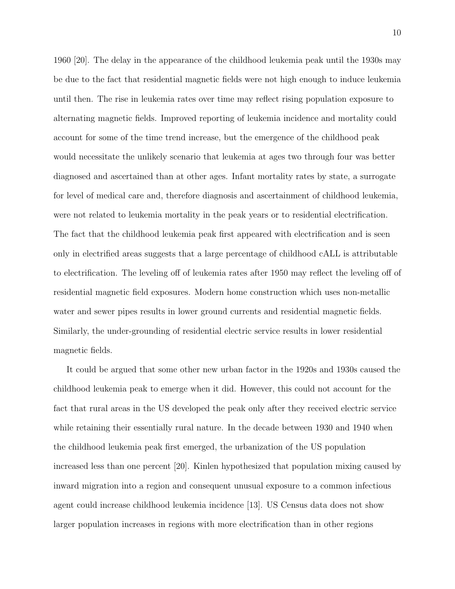1960 [20]. The delay in the appearance of the childhood leukemia peak until the 1930s may be due to the fact that residential magnetic fields were not high enough to induce leukemia until then. The rise in leukemia rates over time may reflect rising population exposure to alternating magnetic fields. Improved reporting of leukemia incidence and mortality could account for some of the time trend increase, but the emergence of the childhood peak would necessitate the unlikely scenario that leukemia at ages two through four was better diagnosed and ascertained than at other ages. Infant mortality rates by state, a surrogate for level of medical care and, therefore diagnosis and ascertainment of childhood leukemia, were not related to leukemia mortality in the peak years or to residential electrification. The fact that the childhood leukemia peak first appeared with electrification and is seen only in electrified areas suggests that a large percentage of childhood cALL is attributable to electrification. The leveling off of leukemia rates after 1950 may reflect the leveling off of residential magnetic field exposures. Modern home construction which uses non-metallic water and sewer pipes results in lower ground currents and residential magnetic fields. Similarly, the under-grounding of residential electric service results in lower residential magnetic fields.

It could be argued that some other new urban factor in the 1920s and 1930s caused the childhood leukemia peak to emerge when it did. However, this could not account for the fact that rural areas in the US developed the peak only after they received electric service while retaining their essentially rural nature. In the decade between 1930 and 1940 when the childhood leukemia peak first emerged, the urbanization of the US population increased less than one percent [20]. Kinlen hypothesized that population mixing caused by inward migration into a region and consequent unusual exposure to a common infectious agent could increase childhood leukemia incidence [13]. US Census data does not show larger population increases in regions with more electrification than in other regions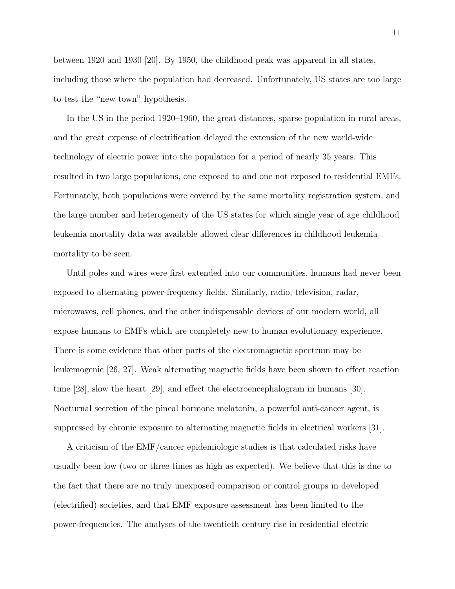between 1920 and 1930 [20]. By 1950, the childhood peak was apparent in all states, including those where the population had decreased. Unfortunately, US states are too large to test the "new town" hypothesis.

In the US in the period 1920–1960, the great distances, sparse population in rural areas, and the great expense of electrification delayed the extension of the new world-wide technology of electric power into the population for a period of nearly 35 years. This resulted in two large populations, one exposed to and one not exposed to residential EMFs. Fortunately, both populations were covered by the same mortality registration system, and the large number and heterogeneity of the US states for which single year of age childhood leukemia mortality data was available allowed clear differences in childhood leukemia mortality to be seen.

Until poles and wires were first extended into our communities, humans had never been exposed to alternating power-frequency fields. Similarly, radio, television, radar, microwaves, cell phones, and the other indispensable devices of our modern world, all expose humans to EMFs which are completely new to human evolutionary experience. There is some evidence that other parts of the electromagnetic spectrum may be leukemogenic [26, 27]. Weak alternating magnetic fields have been shown to effect reaction time [28], slow the heart [29], and effect the electroencephalogram in humans [30]. Nocturnal secretion of the pineal hormone melatonin, a powerful anti-cancer agent, is suppressed by chronic exposure to alternating magnetic fields in electrical workers [31].

A criticism of the EMF/cancer epidemiologic studies is that calculated risks have usually been low (two or three times as high as expected). We believe that this is due to the fact that there are no truly unexposed comparison or control groups in developed (electrified) societies, and that EMF exposure assessment has been limited to the power-frequencies. The analyses of the twentieth century rise in residential electric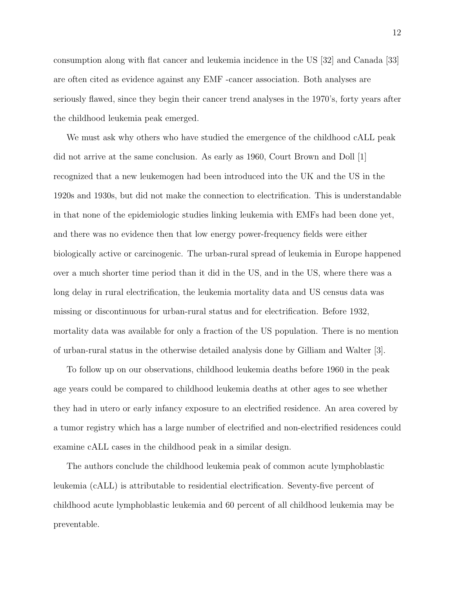consumption along with flat cancer and leukemia incidence in the US [32] and Canada [33] are often cited as evidence against any EMF -cancer association. Both analyses are seriously flawed, since they begin their cancer trend analyses in the 1970's, forty years after the childhood leukemia peak emerged.

We must ask why others who have studied the emergence of the childhood cALL peak did not arrive at the same conclusion. As early as 1960, Court Brown and Doll [1] recognized that a new leukemogen had been introduced into the UK and the US in the 1920s and 1930s, but did not make the connection to electrification. This is understandable in that none of the epidemiologic studies linking leukemia with EMFs had been done yet, and there was no evidence then that low energy power-frequency fields were either biologically active or carcinogenic. The urban-rural spread of leukemia in Europe happened over a much shorter time period than it did in the US, and in the US, where there was a long delay in rural electrification, the leukemia mortality data and US census data was missing or discontinuous for urban-rural status and for electrification. Before 1932, mortality data was available for only a fraction of the US population. There is no mention of urban-rural status in the otherwise detailed analysis done by Gilliam and Walter [3].

To follow up on our observations, childhood leukemia deaths before 1960 in the peak age years could be compared to childhood leukemia deaths at other ages to see whether they had in utero or early infancy exposure to an electrified residence. An area covered by a tumor registry which has a large number of electrified and non-electrified residences could examine cALL cases in the childhood peak in a similar design.

The authors conclude the childhood leukemia peak of common acute lymphoblastic leukemia (cALL) is attributable to residential electrification. Seventy-five percent of childhood acute lymphoblastic leukemia and 60 percent of all childhood leukemia may be preventable.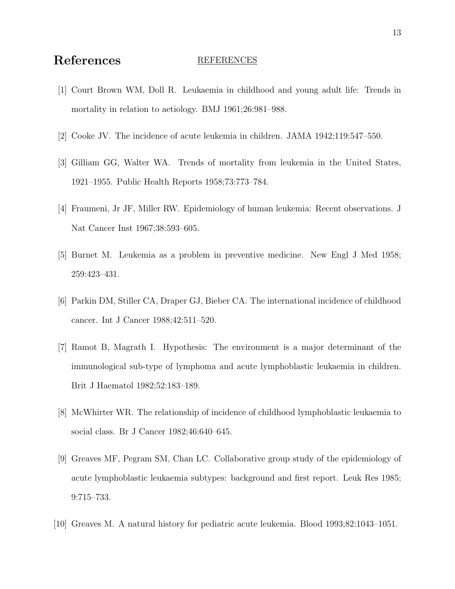# References REFERENCES

- [1] Court Brown WM, Doll R. Leukaemia in childhood and young adult life: Trends in mortality in relation to aetiology. BMJ 1961;26:981–988.
- [2] Cooke JV. The incidence of acute leukemia in children. JAMA 1942;119:547–550.
- [3] Gilliam GG, Walter WA. Trends of mortality from leukemia in the United States, 1921–1955. Public Health Reports 1958;73:773–784.
- [4] Fraumeni, Jr JF, Miller RW. Epidemiology of human leukemia: Recent observations. J Nat Cancer Inst 1967;38:593–605.
- [5] Burnet M. Leukemia as a problem in preventive medicine. New Engl J Med 1958; 259:423–431.
- [6] Parkin DM, Stiller CA, Draper GJ, Bieber CA. The international incidence of childhood cancer. Int J Cancer 1988;42:511–520.
- [7] Ramot B, Magrath I. Hypothesis: The environment is a major determinant of the immunological sub-type of lymphoma and acute lymphoblastic leukaemia in children. Brit J Haematol 1982;52:183–189.
- [8] McWhirter WR. The relationship of incidence of childhood lymphoblastic leukaemia to social class. Br J Cancer 1982;46:640–645.
- [9] Greaves MF, Pegram SM, Chan LC. Collaborative group study of the epidemiology of acute lymphoblastic leukaemia subtypes: background and first report. Leuk Res 1985; 9:715–733.
- [10] Greaves M. A natural history for pediatric acute leukemia. Blood 1993;82:1043–1051.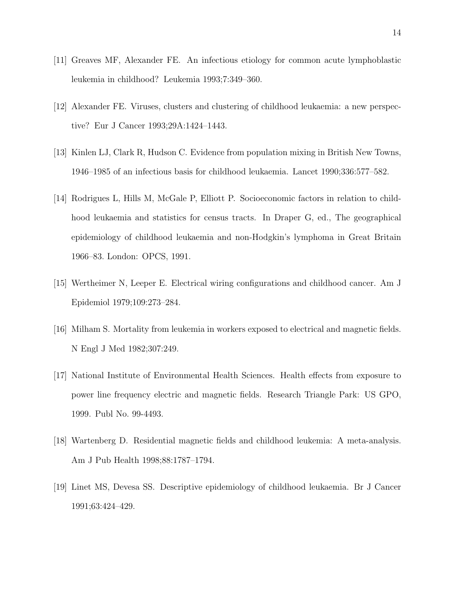- [11] Greaves MF, Alexander FE. An infectious etiology for common acute lymphoblastic leukemia in childhood? Leukemia 1993;7:349–360.
- [12] Alexander FE. Viruses, clusters and clustering of childhood leukaemia: a new perspective? Eur J Cancer 1993;29A:1424–1443.
- [13] Kinlen LJ, Clark R, Hudson C. Evidence from population mixing in British New Towns, 1946–1985 of an infectious basis for childhood leukaemia. Lancet 1990;336:577–582.
- [14] Rodrigues L, Hills M, McGale P, Elliott P. Socioeconomic factors in relation to childhood leukaemia and statistics for census tracts. In Draper G, ed., The geographical epidemiology of childhood leukaemia and non-Hodgkin's lymphoma in Great Britain 1966–83. London: OPCS, 1991.
- [15] Wertheimer N, Leeper E. Electrical wiring configurations and childhood cancer. Am J Epidemiol 1979;109:273–284.
- [16] Milham S. Mortality from leukemia in workers exposed to electrical and magnetic fields. N Engl J Med 1982;307:249.
- [17] National Institute of Environmental Health Sciences. Health effects from exposure to power line frequency electric and magnetic fields. Research Triangle Park: US GPO, 1999. Publ No. 99-4493.
- [18] Wartenberg D. Residential magnetic fields and childhood leukemia: A meta-analysis. Am J Pub Health 1998;88:1787–1794.
- [19] Linet MS, Devesa SS. Descriptive epidemiology of childhood leukaemia. Br J Cancer 1991;63:424–429.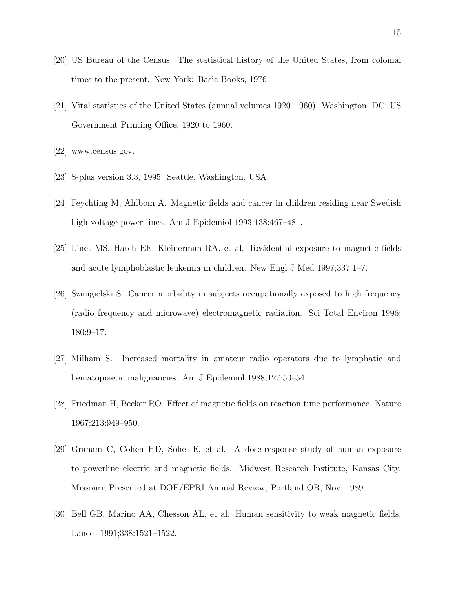- [20] US Bureau of the Census. The statistical history of the United States, from colonial times to the present. New York: Basic Books, 1976.
- [21] Vital statistics of the United States (annual volumes 1920–1960). Washington, DC: US Government Printing Office, 1920 to 1960.
- [22] www.census.gov.
- [23] S-plus version 3.3, 1995. Seattle, Washington, USA.
- [24] Feychting M, Ahlbom A. Magnetic fields and cancer in children residing near Swedish high-voltage power lines. Am J Epidemiol 1993;138:467–481.
- [25] Linet MS, Hatch EE, Kleinerman RA, et al. Residential exposure to magnetic fields and acute lymphoblastic leukemia in children. New Engl J Med 1997;337:1–7.
- [26] Szmigielski S. Cancer morbidity in subjects occupationally exposed to high frequency (radio frequency and microwave) electromagnetic radiation. Sci Total Environ 1996; 180:9–17.
- [27] Milham S. Increased mortality in amateur radio operators due to lymphatic and hematopoietic malignancies. Am J Epidemiol 1988;127:50–54.
- [28] Friedman H, Becker RO. Effect of magnetic fields on reaction time performance. Nature 1967;213:949–950.
- [29] Graham C, Cohen HD, Sohel E, et al. A dose-response study of human exposure to powerline electric and magnetic fields. Midwest Research Institute, Kansas City, Missouri; Presented at DOE/EPRI Annual Review, Portland OR, Nov, 1989.
- [30] Bell GB, Marino AA, Chesson AL, et al. Human sensitivity to weak magnetic fields. Lancet 1991;338:1521–1522.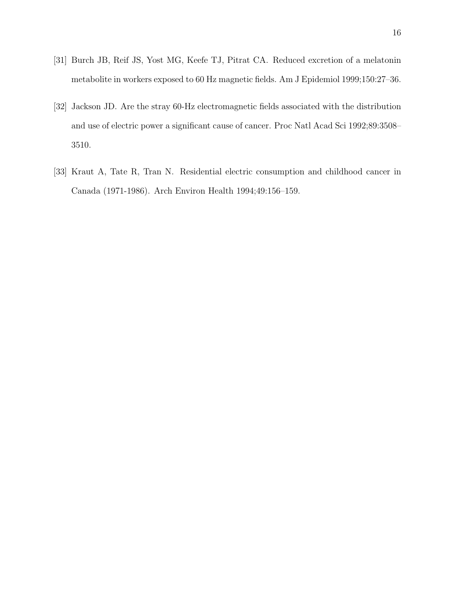- [31] Burch JB, Reif JS, Yost MG, Keefe TJ, Pitrat CA. Reduced excretion of a melatonin metabolite in workers exposed to 60 Hz magnetic fields. Am J Epidemiol 1999;150:27–36.
- [32] Jackson JD. Are the stray 60-Hz electromagnetic fields associated with the distribution and use of electric power a significant cause of cancer. Proc Natl Acad Sci 1992;89:3508– 3510.
- [33] Kraut A, Tate R, Tran N. Residential electric consumption and childhood cancer in Canada (1971-1986). Arch Environ Health 1994;49:156–159.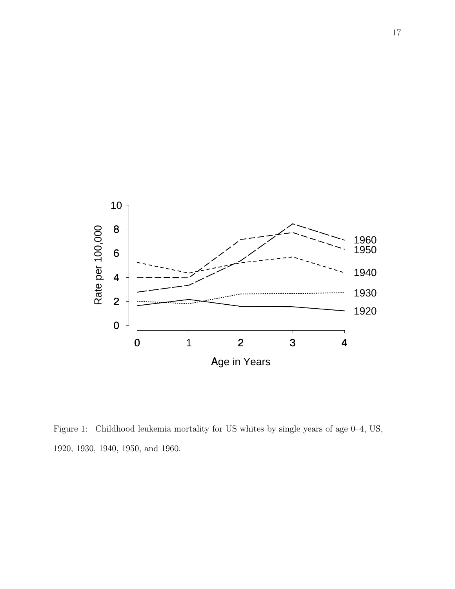

Figure 1: Childhood leukemia mortality for US whites by single years of age 0–4, US, 1920, 1930, 1940, 1950, and 1960.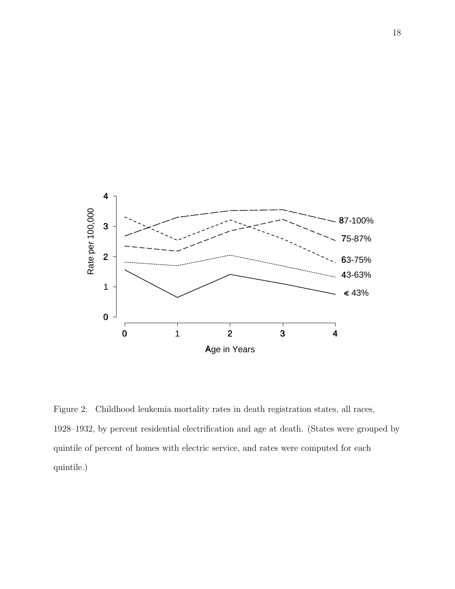

Figure 2: Childhood leukemia mortality rates in death registration states, all races, 1928–1932, by percent residential electrification and age at death. (States were grouped by quintile of percent of homes with electric service, and rates were computed for each quintile.)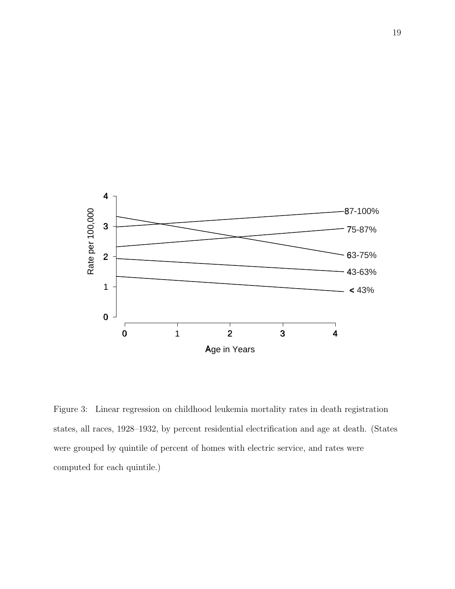

Figure 3: Linear regression on childhood leukemia mortality rates in death registration states, all races, 1928–1932, by percent residential electrification and age at death. (States were grouped by quintile of percent of homes with electric service, and rates were computed for each quintile.)